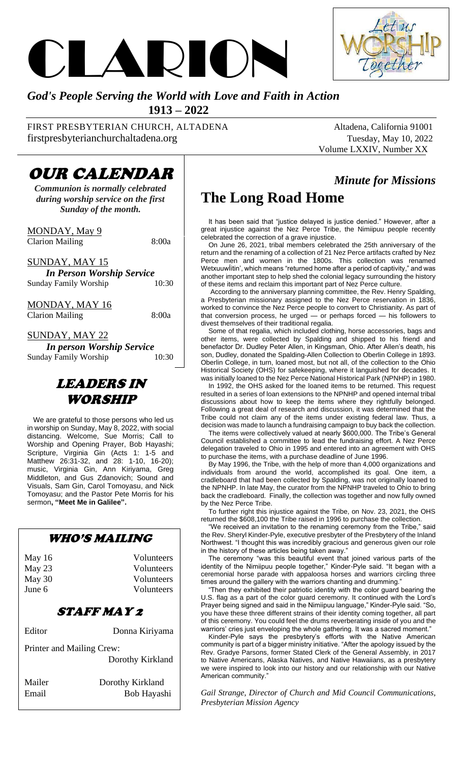



#### *God's People Serving the World with Love and Faith in Action*  **1913 – 2022**

FIRST PRESBYTERIAN CHURCH, ALTADENA Altadena, California 91001 firstpresbyterianchurchaltadena.org Tuesday, May 10, 2022

Volume LXXIV, Number XX

*Minute for Missions*

## OUR CALENDAR

*Communion is normally celebrated during worship service on the first Sunday of the month.*

MONDAY, May 9 Clarion Mailing 8:00a

SUNDAY, MAY 15

*In Person Worship Service* Sunday Family Worship

MONDAY, MAY 16 Clarion Mailing 8:00a

SUNDAY, MAY 22

*In person Worship Service* Sunday Family Worship 10:30

### LEADERS IN WORSHIP

 We are grateful to those persons who led us in worship on Sunday, May 8, 2022, with social distancing. Welcome, Sue Morris; Call to Worship and Opening Prayer, Bob Hayashi; Scripture, Virginia Gin (Acts 1: 1-5 and Matthew 26:31-32, and 28: 1-10, 16-20); music, Virginia Gin, Ann Kiriyama, Greg Middleton, and Gus Zdanovich; Sound and Visuals, Sam Gin, Carol Tomoyasu, and Nick Tomoyasu; and the Pastor Pete Morris for his sermon**, "Meet Me in Galilee".** 

#### WHO'S MAILING

| May $16$ | Volunteers |
|----------|------------|
| May $23$ | Volunteers |
| May $30$ | Volunteers |
| June 6   | Volunteers |
|          |            |

#### STAFF MAY 2

Editor Donna Kiriyama Printer and Mailing Crew: Dorothy Kirkland Mailer Dorothy Kirkland Email Bob Hayashi

# **The Long Road Home**

 It has been said that "justice delayed is justice denied." However, after a great injustice against the Nez Perce Tribe, the Nimiipuu people recently celebrated the correction of a grave injustice.

 On June 26, 2021, tribal members celebrated the 25th anniversary of the return and the renaming of a collection of 21 Nez Perce artifacts crafted by Nez Perce men and women in the 1800s. This collection was renamed WetxuuwÍitin', which means "returned home after a period of captivity," and was another important step to help shed the colonial legacy surrounding the history of these items and reclaim this important part of Nez Perce culture.

 According to the anniversary planning committee, the Rev. Henry Spalding, a Presbyterian missionary assigned to the Nez Perce reservation in 1836, worked to convince the Nez Perce people to convert to Christianity. As part of that conversion process, he urged — or perhaps forced — his followers to divest themselves of their traditional regalia.

 Some of that regalia, which included clothing, horse accessories, bags and other items, were collected by Spalding and shipped to his friend and benefactor Dr. Dudley Peter Allen, in Kingsman, Ohio. After Allen's death, his son, Dudley, donated the Spalding-Allen Collection to Oberlin College in 1893. Oberlin College, in turn, loaned most, but not all, of the collection to the Ohio Historical Society (OHS) for safekeeping, where it languished for decades. It was initially loaned to the Nez Perce National Historical Park (NPNHP) in 1980.

 In 1992, the OHS asked for the loaned items to be returned. This request resulted in a series of loan extensions to the NPNHP and opened internal tribal discussions about how to keep the items where they rightfully belonged. Following a great deal of research and discussion, it was determined that the Tribe could not claim any of the items under existing federal law. Thus, a decision was made to launch a fundraising campaign to buy back the collection.

 The items were collectively valued at nearly \$600,000. The Tribe's General Council established a committee to lead the fundraising effort. A Nez Perce delegation traveled to Ohio in 1995 and entered into an agreement with OHS to purchase the items, with a purchase deadline of June 1996.

 By May 1996, the Tribe, with the help of more than 4,000 organizations and individuals from around the world, accomplished its goal. One item, a cradleboard that had been collected by Spalding, was not originally loaned to the NPNHP. In late May, the curator from the NPNHP traveled to Ohio to bring back the cradleboard. Finally, the collection was together and now fully owned by the Nez Perce Tribe.

 To further right this injustice against the Tribe, on Nov. 23, 2021, the OHS returned the \$608,100 the Tribe raised in 1996 to purchase the collection.

 "We received an invitation to the renaming ceremony from the Tribe," said the Rev. Sheryl Kinder-Pyle, executive presbyter of the Presbytery of the Inland Northwest. "I thought this was incredibly gracious and generous given our role in the history of these articles being taken away.'

 The ceremony "was this beautiful event that joined various parts of the identity of the Nimiipuu people together," Kinder-Pyle said. "It began with a ceremonial horse parade with appaloosa horses and warriors circling three times around the gallery with the warriors chanting and drumming."

 "Then they exhibited their patriotic identity with the color guard bearing the U.S. flag as a part of the color guard ceremony. It continued with the Lord's Prayer being signed and said in the Nimiipuu language," Kinder-Pyle said. "So, you have these three different strains of their identity coming together, all part of this ceremony. You could feel the drums reverberating inside of you and the warriors' cries just enveloping the whole gathering. It was a sacred moment."

 Kinder-Pyle says the presbytery's efforts with the Native American community is part of a bigger ministry initiative. "After the apology issued by the Rev. Gradye Parsons, former Stated Clerk of the General Assembly, in 2017 to Native Americans, Alaska Natives, and Native Hawaiians, as a presbytery we were inspired to look into our history and our relationship with our Native American community."

*Gail Strange, Director of Church and Mid Council Communications, Presbyterian Mission Agency*